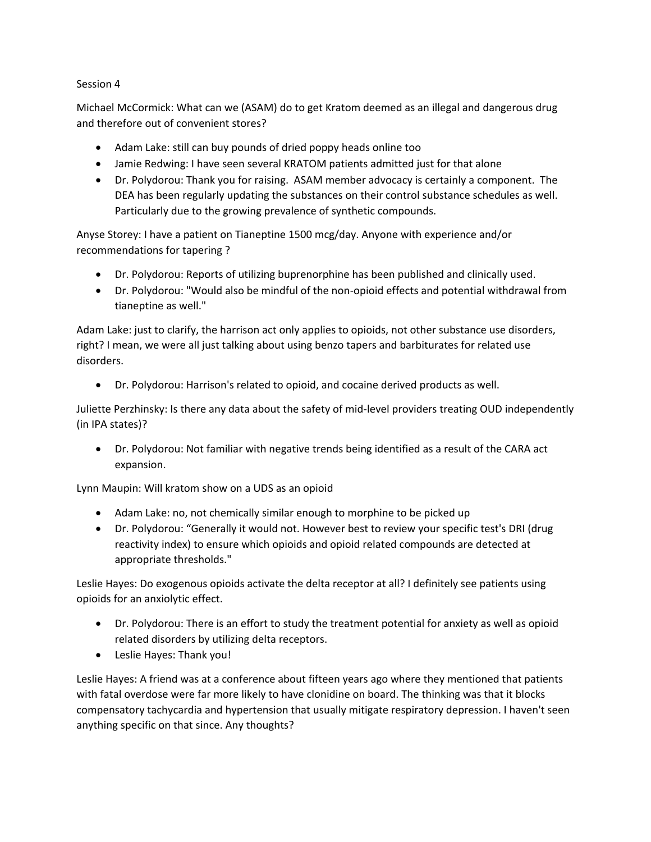## Session 4

Michael McCormick: What can we (ASAM) do to get Kratom deemed as an illegal and dangerous drug and therefore out of convenient stores?

- Adam Lake: still can buy pounds of dried poppy heads online too
- Jamie Redwing: I have seen several KRATOM patients admitted just for that alone
- Dr. Polydorou: Thank you for raising. ASAM member advocacy is certainly a component. The DEA has been regularly updating the substances on their control substance schedules as well. Particularly due to the growing prevalence of synthetic compounds.

Anyse Storey: I have a patient on Tianeptine 1500 mcg/day. Anyone with experience and/or recommendations for tapering ?

- Dr. Polydorou: Reports of utilizing buprenorphine has been published and clinically used.
- Dr. Polydorou: "Would also be mindful of the non-opioid effects and potential withdrawal from tianeptine as well."

Adam Lake: just to clarify, the harrison act only applies to opioids, not other substance use disorders, right? I mean, we were all just talking about using benzo tapers and barbiturates for related use disorders.

• Dr. Polydorou: Harrison's related to opioid, and cocaine derived products as well.

Juliette Perzhinsky: Is there any data about the safety of mid-level providers treating OUD independently (in IPA states)?

• Dr. Polydorou: Not familiar with negative trends being identified as a result of the CARA act expansion.

Lynn Maupin: Will kratom show on a UDS as an opioid

- Adam Lake: no, not chemically similar enough to morphine to be picked up
- Dr. Polydorou: "Generally it would not. However best to review your specific test's DRI (drug reactivity index) to ensure which opioids and opioid related compounds are detected at appropriate thresholds."

Leslie Hayes: Do exogenous opioids activate the delta receptor at all? I definitely see patients using opioids for an anxiolytic effect.

- Dr. Polydorou: There is an effort to study the treatment potential for anxiety as well as opioid related disorders by utilizing delta receptors.
- Leslie Hayes: Thank you!

Leslie Hayes: A friend was at a conference about fifteen years ago where they mentioned that patients with fatal overdose were far more likely to have clonidine on board. The thinking was that it blocks compensatory tachycardia and hypertension that usually mitigate respiratory depression. I haven't seen anything specific on that since. Any thoughts?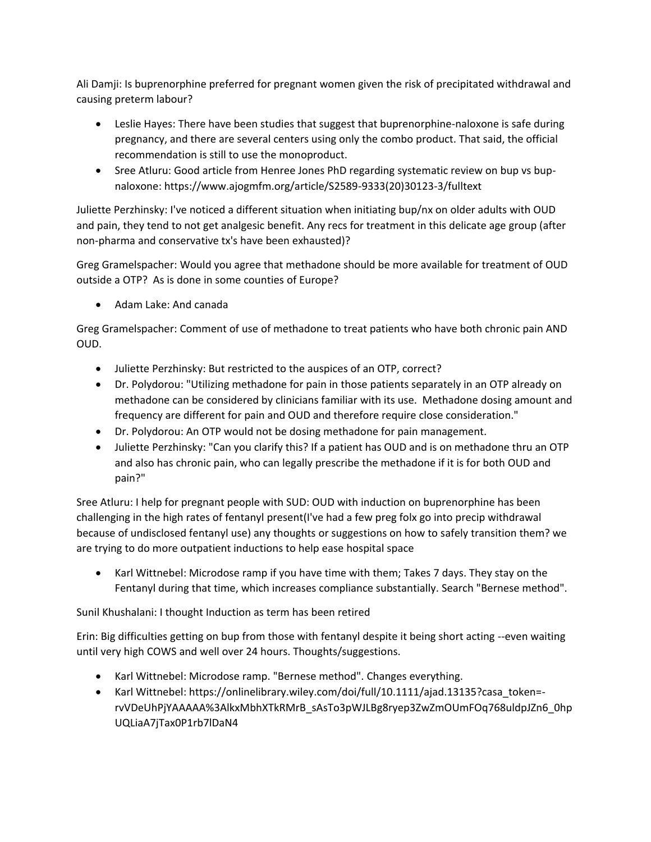Ali Damji: Is buprenorphine preferred for pregnant women given the risk of precipitated withdrawal and causing preterm labour?

- Leslie Hayes: There have been studies that suggest that buprenorphine-naloxone is safe during pregnancy, and there are several centers using only the combo product. That said, the official recommendation is still to use the monoproduct.
- Sree Atluru: Good article from Henree Jones PhD regarding systematic review on bup vs bupnaloxone: https://www.ajogmfm.org/article/S2589-9333(20)30123-3/fulltext

Juliette Perzhinsky: I've noticed a different situation when initiating bup/nx on older adults with OUD and pain, they tend to not get analgesic benefit. Any recs for treatment in this delicate age group (after non-pharma and conservative tx's have been exhausted)?

Greg Gramelspacher: Would you agree that methadone should be more available for treatment of OUD outside a OTP? As is done in some counties of Europe?

• Adam Lake: And canada

Greg Gramelspacher: Comment of use of methadone to treat patients who have both chronic pain AND OUD.

- Juliette Perzhinsky: But restricted to the auspices of an OTP, correct?
- Dr. Polydorou: "Utilizing methadone for pain in those patients separately in an OTP already on methadone can be considered by clinicians familiar with its use. Methadone dosing amount and frequency are different for pain and OUD and therefore require close consideration."
- Dr. Polydorou: An OTP would not be dosing methadone for pain management.
- Juliette Perzhinsky: "Can you clarify this? If a patient has OUD and is on methadone thru an OTP and also has chronic pain, who can legally prescribe the methadone if it is for both OUD and pain?"

Sree Atluru: I help for pregnant people with SUD: OUD with induction on buprenorphine has been challenging in the high rates of fentanyl present(I've had a few preg folx go into precip withdrawal because of undisclosed fentanyl use) any thoughts or suggestions on how to safely transition them? we are trying to do more outpatient inductions to help ease hospital space

• Karl Wittnebel: Microdose ramp if you have time with them; Takes 7 days. They stay on the Fentanyl during that time, which increases compliance substantially. Search "Bernese method".

Sunil Khushalani: I thought Induction as term has been retired

Erin: Big difficulties getting on bup from those with fentanyl despite it being short acting --even waiting until very high COWS and well over 24 hours. Thoughts/suggestions.

- Karl Wittnebel: Microdose ramp. "Bernese method". Changes everything.
- Karl Wittnebel: https://onlinelibrary.wiley.com/doi/full/10.1111/ajad.13135?casa\_token=rvVDeUhPjYAAAAA%3AlkxMbhXTkRMrB\_sAsTo3pWJLBg8ryep3ZwZmOUmFOq768uldpJZn6\_0hp UQLiaA7jTax0P1rb7lDaN4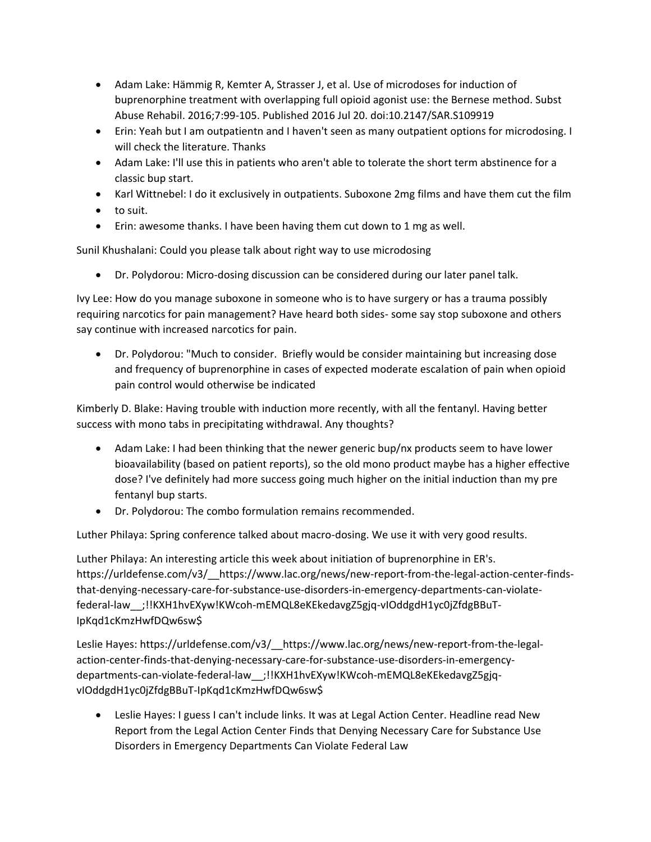- Adam Lake: Hämmig R, Kemter A, Strasser J, et al. Use of microdoses for induction of buprenorphine treatment with overlapping full opioid agonist use: the Bernese method. Subst Abuse Rehabil. 2016;7:99-105. Published 2016 Jul 20. doi:10.2147/SAR.S109919
- Erin: Yeah but I am outpatientn and I haven't seen as many outpatient options for microdosing. I will check the literature. Thanks
- Adam Lake: I'll use this in patients who aren't able to tolerate the short term abstinence for a classic bup start.
- Karl Wittnebel: I do it exclusively in outpatients. Suboxone 2mg films and have them cut the film
- to suit.
- Erin: awesome thanks. I have been having them cut down to 1 mg as well.

Sunil Khushalani: Could you please talk about right way to use microdosing

• Dr. Polydorou: Micro-dosing discussion can be considered during our later panel talk.

Ivy Lee: How do you manage suboxone in someone who is to have surgery or has a trauma possibly requiring narcotics for pain management? Have heard both sides- some say stop suboxone and others say continue with increased narcotics for pain.

• Dr. Polydorou: "Much to consider. Briefly would be consider maintaining but increasing dose and frequency of buprenorphine in cases of expected moderate escalation of pain when opioid pain control would otherwise be indicated

Kimberly D. Blake: Having trouble with induction more recently, with all the fentanyl. Having better success with mono tabs in precipitating withdrawal. Any thoughts?

- Adam Lake: I had been thinking that the newer generic bup/nx products seem to have lower bioavailability (based on patient reports), so the old mono product maybe has a higher effective dose? I've definitely had more success going much higher on the initial induction than my pre fentanyl bup starts.
- Dr. Polydorou: The combo formulation remains recommended.

Luther Philaya: Spring conference talked about macro-dosing. We use it with very good results.

Luther Philaya: An interesting article this week about initiation of buprenorphine in ER's. https://urldefense.com/v3/\_\_https://www.lac.org/news/new-report-from-the-legal-action-center-findsthat-denying-necessary-care-for-substance-use-disorders-in-emergency-departments-can-violatefederal-law\_\_;!!KXH1hvEXyw!KWcoh-mEMQL8eKEkedavgZ5gjq-vIOddgdH1yc0jZfdgBBuT-IpKqd1cKmzHwfDQw6sw\$

Leslie Hayes: https://urldefense.com/v3/\_\_https://www.lac.org/news/new-report-from-the-legalaction-center-finds-that-denying-necessary-care-for-substance-use-disorders-in-emergencydepartments-can-violate-federal-law\_\_;!!KXH1hvEXyw!KWcoh-mEMQL8eKEkedavgZ5gjqvIOddgdH1yc0jZfdgBBuT-IpKqd1cKmzHwfDQw6sw\$

• Leslie Hayes: I guess I can't include links. It was at Legal Action Center. Headline read New Report from the Legal Action Center Finds that Denying Necessary Care for Substance Use Disorders in Emergency Departments Can Violate Federal Law